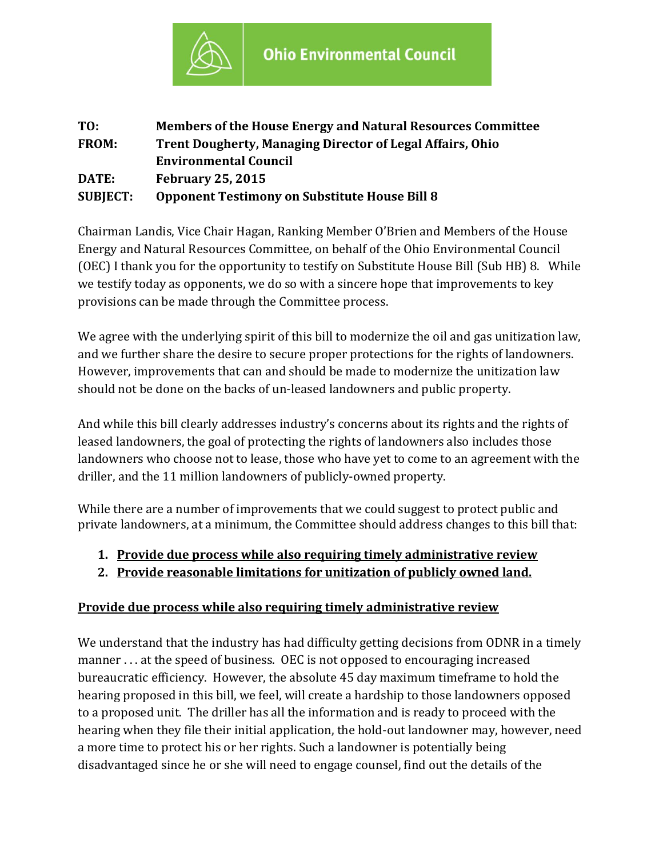

| TO:             | <b>Members of the House Energy and Natural Resources Committee</b> |
|-----------------|--------------------------------------------------------------------|
| <b>FROM:</b>    | <b>Trent Dougherty, Managing Director of Legal Affairs, Ohio</b>   |
|                 | <b>Environmental Council</b>                                       |
| DATE:           | <b>February 25, 2015</b>                                           |
| <b>SUBJECT:</b> | <b>Opponent Testimony on Substitute House Bill 8</b>               |

Chairman Landis, Vice Chair Hagan, Ranking Member O'Brien and Members of the House Energy and Natural Resources Committee, on behalf of the Ohio Environmental Council (OEC) I thank you for the opportunity to testify on Substitute House Bill (Sub HB) 8. While we testify today as opponents, we do so with a sincere hope that improvements to key provisions can be made through the Committee process.

We agree with the underlying spirit of this bill to modernize the oil and gas unitization law, and we further share the desire to secure proper protections for the rights of landowners. However, improvements that can and should be made to modernize the unitization law should not be done on the backs of un-leased landowners and public property.

And while this bill clearly addresses industry's concerns about its rights and the rights of leased landowners, the goal of protecting the rights of landowners also includes those landowners who choose not to lease, those who have yet to come to an agreement with the driller, and the 11 million landowners of publicly-owned property.

While there are a number of improvements that we could suggest to protect public and private landowners, at a minimum, the Committee should address changes to this bill that:

- **1. Provide due process while also requiring timely administrative review**
- **2. Provide reasonable limitations for unitization of publicly owned land.**

## **Provide due process while also requiring timely administrative review**

We understand that the industry has had difficulty getting decisions from ODNR in a timely manner . . . at the speed of business. OEC is not opposed to encouraging increased bureaucratic efficiency. However, the absolute 45 day maximum timeframe to hold the hearing proposed in this bill, we feel, will create a hardship to those landowners opposed to a proposed unit. The driller has all the information and is ready to proceed with the hearing when they file their initial application, the hold-out landowner may, however, need a more time to protect his or her rights. Such a landowner is potentially being disadvantaged since he or she will need to engage counsel, find out the details of the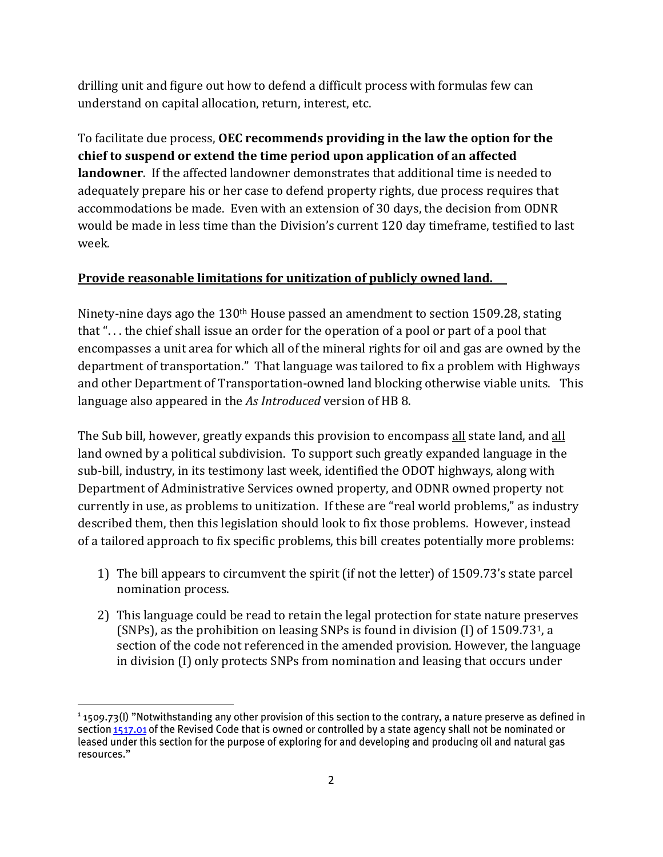drilling unit and figure out how to defend a difficult process with formulas few can understand on capital allocation, return, interest, etc.

To facilitate due process, **OEC recommends providing in the law the option for the chief to suspend or extend the time period upon application of an affected landowner**. If the affected landowner demonstrates that additional time is needed to adequately prepare his or her case to defend property rights, due process requires that accommodations be made. Even with an extension of 30 days, the decision from ODNR would be made in less time than the Division's current 120 day timeframe, testified to last week.

## **Provide reasonable limitations for unitization of publicly owned land.**

Ninety-nine days ago the 130<sup>th</sup> House passed an amendment to section 1509.28, stating that ". . . the chief shall issue an order for the operation of a pool or part of a pool that encompasses a unit area for which all of the mineral rights for oil and gas are owned by the department of transportation." That language was tailored to fix a problem with Highways and other Department of Transportation-owned land blocking otherwise viable units. This language also appeared in the *As Introduced* version of HB 8.

The Sub bill, however, greatly expands this provision to encompass all state land, and all land owned by a political subdivision. To support such greatly expanded language in the sub-bill, industry, in its testimony last week, identified the ODOT highways, along with Department of Administrative Services owned property, and ODNR owned property not currently in use, as problems to unitization. If these are "real world problems," as industry described them, then this legislation should look to fix those problems. However, instead of a tailored approach to fix specific problems, this bill creates potentially more problems:

- 1) The bill appears to circumvent the spirit (if not the letter) of 1509.73's state parcel nomination process.
- 2) This language could be read to retain the legal protection for state nature preserves (SNPs), as the prohibition on leasing SNPs is found in division  $(I)$  of 1509.73<sup>1</sup>, a section of the code not referenced in the amended provision. However, the language in division (I) only protects SNPs from nomination and leasing that occurs under

 $\overline{a}$ 

section 1517.01 of the Revised Code that is owned or controlled by a state agency shall not be nominated or leased under this section for the purpose of exploring for and developing and producing oil and natural gas resources."